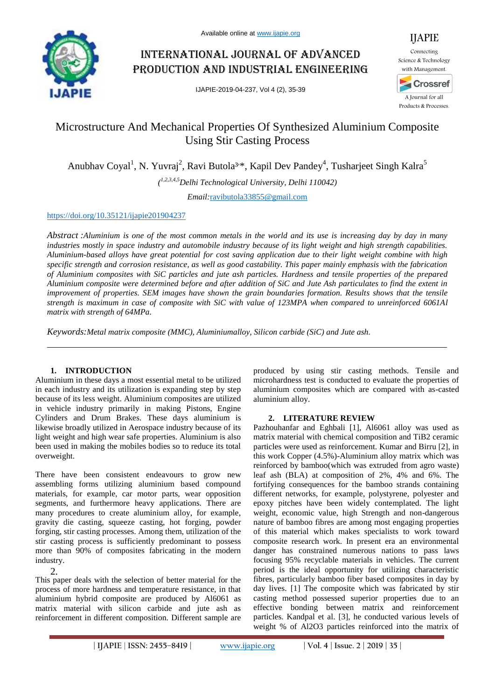

# International journal of advanced production and industrial engineering

IJAPIE-2019-04-237, Vol 4 (2), 35-39



# Microstructure And Mechanical Properties Of Synthesized Aluminium Composite Using Stir Casting Process

Anubhav Coyal<sup>1</sup>, N. Yuvraj<sup>2</sup>, Ravi Butola<sup>3\*</sup>, Kapil Dev Pandey<sup>4</sup>, Tusharjeet Singh Kalra<sup>5</sup>

*( 1,2,3,4,5Delhi Technological University, Delhi 110042)*

*Email:*ravibutola33855@gmail.com

# https://doi.org/10.35121/ijapie201904237

*Abstract :Aluminium is one of the most common metals in the world and its use is increasing day by day in many industries mostly in space industry and automobile industry because of its light weight and high strength capabilities. Aluminium-based alloys have great potential for cost saving application due to their light weight combine with high specific strength and corrosion resistance, as well as good castability. This paper mainly emphasis with the fabrication of Aluminium composites with SiC particles and jute ash particles. Hardness and tensile properties of the prepared Aluminium composite were determined before and after addition of SiC and Jute Ash particulates to find the extent in improvement of properties. SEM images have shown the grain boundaries formation. Results shows that the tensile strength is maximum in case of composite with SiC with value of 123MPA when compared to unreinforced 6061Al matrix with strength of 64MPa.*

*Keywords:Metal matrix composite (MMC), Aluminiumalloy, Silicon carbide (SiC) and Jute ash.*

# **1. INTRODUCTION**

Aluminium in these days a most essential metal to be utilized in each industry and its utilization is expanding step by step because of its less weight. Aluminium composites are utilized in vehicle industry primarily in making Pistons, Engine Cylinders and Drum Brakes. These days aluminium is likewise broadly utilized in Aerospace industry because of its light weight and high wear safe properties. Aluminium is also been used in making the mobiles bodies so to reduce its total overweight.

There have been consistent endeavours to grow new assembling forms utilizing aluminium based compound materials, for example, car motor parts, wear opposition segments, and furthermore heavy applications. There are many procedures to create aluminium alloy, for example, gravity die casting, squeeze casting, hot forging, powder forging, stir casting processes. Among them, utilization of the stir casting process is sufficiently predominant to possess more than 90% of composites fabricating in the modern industry.

2.

This paper deals with the selection of better material for the process of more hardness and temperature resistance, in that aluminium hybrid composite are produced by Al6061 as matrix material with silicon carbide and jute ash as reinforcement in different composition. Different sample are

produced by using stir casting methods. Tensile and microhardness test is conducted to evaluate the properties of aluminium composites which are compared with as-casted aluminium alloy.

# **2. LITERATURE REVIEW**

Pazhouhanfar and Eghbali [1], Al6061 alloy was used as matrix material with chemical composition and TiB2 ceramic particles were used as reinforcement. Kumar and Birru [2], in this work Copper (4.5%)-Aluminium alloy matrix which was reinforced by bamboo(which was extruded from agro waste) leaf ash (BLA) at composition of 2%, 4% and 6%. The fortifying consequences for the bamboo strands containing different networks, for example, polystyrene, polyester and epoxy pitches have been widely contemplated. The light weight, economic value, high Strength and non-dangerous nature of bamboo fibres are among most engaging properties of this material which makes specialists to work toward composite research work. In present era an environmental danger has constrained numerous nations to pass laws focusing 95% recyclable materials in vehicles. The current period is the ideal opportunity for utilizing characteristic fibres, particularly bamboo fiber based composites in day by day lives. [1] The composite which was fabricated by stir casting method possessed superior properties due to an effective bonding between matrix and reinforcement particles. Kandpal et al. [3], he conducted various levels of weight % of Al2O3 particles reinforced into the matrix of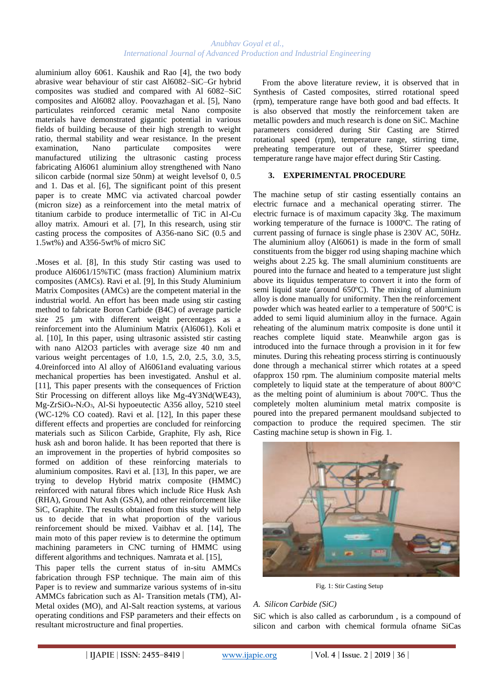aluminium alloy 6061. Kaushik and Rao [4], the two body abrasive wear behaviour of stir cast Al6082–SiC–Gr hybrid composites was studied and compared with Al 6082–SiC composites and Al6082 alloy. Poovazhagan et al. [5], Nano particulates reinforced ceramic metal Nano composite materials have demonstrated gigantic potential in various fields of building because of their high strength to weight ratio, thermal stability and wear resistance. In the present examination, Nano particulate composites were manufactured utilizing the ultrasonic casting process fabricating Al6061 aluminium alloy strengthened with Nano silicon carbide (normal size 50nm) at weight levelsof 0, 0.5 and 1. Das et al. [6], The significant point of this present paper is to create MMC via activated charcoal powder (micron size) as a reinforcement into the metal matrix of titanium carbide to produce intermetallic of TiC in Al-Cu alloy matrix. Amouri et al. [7], In this research, using stir casting process the composites of A356-nano SiC (0.5 and 1.5wt%) and A356-5wt% of micro SiC

.Moses et al. [8], In this study Stir casting was used to produce Al6061/15%TiC (mass fraction) Aluminium matrix composites (AMCs). Ravi et al. [9], In this Study Aluminium Matrix Composites (AMCs) are the competent material in the industrial world. An effort has been made using stir casting method to fabricate Boron Carbide (B4C) of average particle size 25  $\mu$ m with different weight percentages as a reinforcement into the Aluminium Matrix (Al6061). Koli et al. [10], In this paper, using ultrasonic assisted stir casting with nano Al2O3 particles with average size 40 nm and various weight percentages of 1.0, 1.5, 2.0, 2.5, 3.0, 3.5, 4.0reinforced into Al alloy of Al6061and evaluating various mechanical properties has been investigated. Anshul et al. [11], This paper presents with the consequences of Friction Stir Processing on different alloys like Mg-4Y3Nd(WE43), Mg-ZrSiO4-N2O3, Al-Si hypoeutectic A356 alloy, 5210 steel (WC-12% CO coated). Ravi et al. [12], In this paper these different effects and properties are concluded for reinforcing materials such as Silicon Carbide, Graphite, Fly ash, Rice husk ash and boron halide. It has been reported that there is an improvement in the properties of hybrid composites so formed on addition of these reinforcing materials to aluminium composites. Ravi et al. [13], In this paper, we are trying to develop Hybrid matrix composite (HMMC) reinforced with natural fibres which include Rice Husk Ash (RHA), Ground Nut Ash (GSA), and other reinforcement like SiC, Graphite. The results obtained from this study will help us to decide that in what proportion of the various reinforcement should be mixed. Vaibhav et al. [14], The main moto of this paper review is to determine the optimum machining parameters in CNC turning of HMMC using different algorithms and techniques. Namrata et al. [15],

This paper tells the current status of in-situ AMMCs fabrication through FSP technique. The main aim of this Paper is to review and summarize various systems of in-situ AMMCs fabrication such as Al- Transition metals (TM), Al-Metal oxides (MO), and Al-Salt reaction systems, at various operating conditions and FSP parameters and their effects on resultant microstructure and final properties.

From the above literature review, it is observed that in Synthesis of Casted composites, stirred rotational speed (rpm), temperature range have both good and bad effects. It is also observed that mostly the reinforcement taken are metallic powders and much research is done on SiC. Machine parameters considered during Stir Casting are Stirred rotational speed (rpm), temperature range, stirring time, preheating temperature out of these, Stirrer speedand temperature range have major effect during Stir Casting.

# **3. EXPERIMENTAL PROCEDURE**

The machine setup of stir casting essentially contains an electric furnace and a mechanical operating stirrer. The electric furnace is of maximum capacity 3kg. The maximum working temperature of the furnace is 1000ºC. The rating of current passing of furnace is single phase is 230V AC, 50Hz. The aluminium alloy (Al6061) is made in the form of small constituents from the bigger rod using shaping machine which weighs about 2.25 kg. The small aluminium constituents are poured into the furnace and heated to a temperature just slight above its liquidus temperature to convert it into the form of semi liquid state (around 650ºC). The mixing of aluminium alloy is done manually for uniformity. Then the reinforcement powder which was heated earlier to a temperature of 500°C is added to semi liquid aluminium alloy in the furnace. Again reheating of the aluminum matrix composite is done until it reaches complete liquid state. Meanwhile argon gas is introduced into the furnace through a provision in it for few minutes. During this reheating process stirring is continuously done through a mechanical stirrer which rotates at a speed ofapprox 150 rpm. The aluminium composite material melts completely to liquid state at the temperature of about 800°C as the melting point of aluminium is about 700ºC. Thus the completely molten aluminium metal matrix composite is poured into the prepared permanent mouldsand subjected to compaction to produce the required specimen. The stir Casting machine setup is shown in Fig. 1.



Fig. 1: Stir Casting Setup

# *A. Silicon Carbide (SiC)*

SiC which is also called as carborundum , is a compound of silicon and carbon with chemical formula ofname SiCas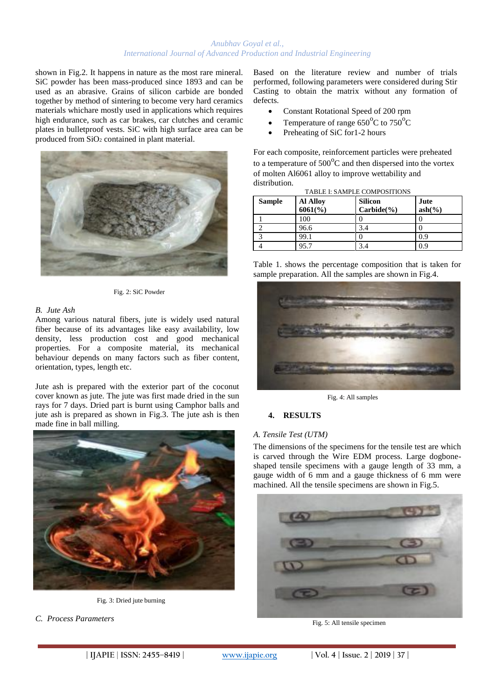shown in Fig.2. It happens in nature as the most rare mineral. SiC powder has been mass-produced since 1893 and can be used as an abrasive. Grains of silicon carbide are bonded together by method of sintering to become very hard ceramics materials whichare mostly used in applications which requires high endurance, such as car brakes, car clutches and ceramic plates in bulletproof vests. SiC with high surface area can be produced from SiO<sup>2</sup> contained in plant material.



Fig. 2: SiC Powder

#### *B. Jute Ash*

Among various natural fibers, jute is widely used natural fiber because of its advantages like easy availability, low density, less production cost and good mechanical properties. For a composite material, its mechanical behaviour depends on many factors such as fiber content, orientation, types, length etc.

Jute ash is prepared with the exterior part of the coconut cover known as jute. The jute was first made dried in the sun rays for 7 days. Dried part is burnt using Camphor balls and jute ash is prepared as shown in Fig.3. The jute ash is then made fine in ball milling.



Fig. 3: Dried jute burning

*C. Process Parameters*

Based on the literature review and number of trials performed, following parameters were considered during Stir Casting to obtain the matrix without any formation of defects.

- Constant Rotational Speed of 200 rpm
- Temperature of range  $650^{\circ}$ C to  $750^{\circ}$ C
- Preheating of SiC for1-2 hours

For each composite, reinforcement particles were preheated to a temperature of  $500^{\circ}$ C and then dispersed into the vortex of molten Al6061 alloy to improve wettability and distribution. TABLE I: SAMPLE COMPOSITIONS

| <b>Sample</b> | <b>Al Alloy</b><br>$6061\frac{6}{6}$ | <b>Silicon</b><br>$Carbide(\frac{9}{6})$ | Jute<br>$ash($ %) |
|---------------|--------------------------------------|------------------------------------------|-------------------|
|               | 100                                  |                                          |                   |
|               | 96.6                                 | 3.4                                      |                   |
|               | 99.1                                 |                                          | 0.9               |
|               | 95.7                                 |                                          | 0.9               |

Table 1. shows the percentage composition that is taken for sample preparation. All the samples are shown in Fig.4.



Fig. 4: All samples

# **4. RESULTS**

#### *A. Tensile Test (UTM)*

The dimensions of the specimens for the tensile test are which is carved through the Wire EDM process. Large dogboneshaped tensile specimens with a gauge length of 33 mm, a gauge width of 6 mm and a gauge thickness of 6 mm were machined. All the tensile specimens are shown in Fig.5.



Fig. 5: All tensile specimen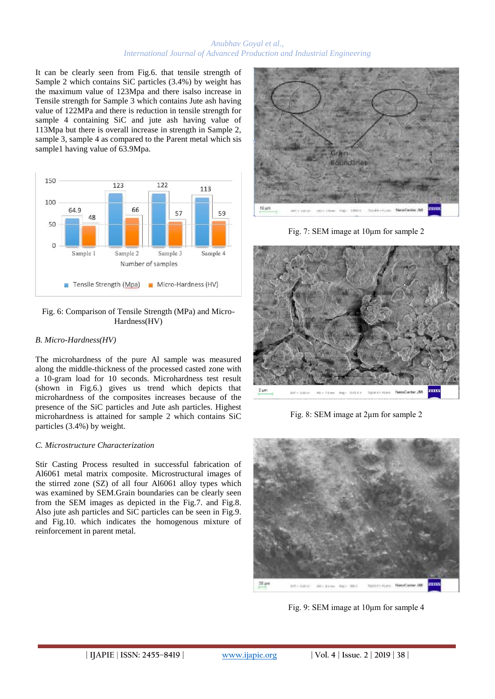It can be clearly seen from Fig.6. that tensile strength of Sample 2 which contains SiC particles (3.4%) by weight has the maximum value of 123Mpa and there isalso increase in Tensile strength for Sample 3 which contains Jute ash having value of 122MPa and there is reduction in tensile strength for sample 4 containing SiC and jute ash having value of 113Mpa but there is overall increase in strength in Sample 2, sample 3, sample 4 as compared to the Parent metal which sis sample1 having value of 63.9Mpa.



## Fig. 6: Comparison of Tensile Strength (MPa) and Micro-Hardness(HV)

# *B. Micro-Hardness(HV)*

The microhardness of the pure Al sample was measured along the middle-thickness of the processed casted zone with a 10-gram load for 10 seconds. Microhardness test result (shown in Fig.6.) gives us trend which depicts that microhardness of the composites increases because of the presence of the SiC particles and Jute ash particles. Highest microhardness is attained for sample 2 which contains SiC particles (3.4%) by weight.

## *C. Microstructure Characterization*

Stir Casting Process resulted in successful fabrication of Al6061 metal matrix composite. Microstructural images of the stirred zone (SZ) of all four Al6061 alloy types which was examined by SEM.Grain boundaries can be clearly seen from the SEM images as depicted in the Fig.7. and Fig.8. Also jute ash particles and SiC particles can be seen in Fig.9. and Fig.10. which indicates the homogenous mixture of reinforcement in parent metal.



Fig. 7: SEM image at 10μm for sample 2



Fig. 8: SEM image at 2um for sample 2



Fig. 9: SEM image at 10μm for sample 4